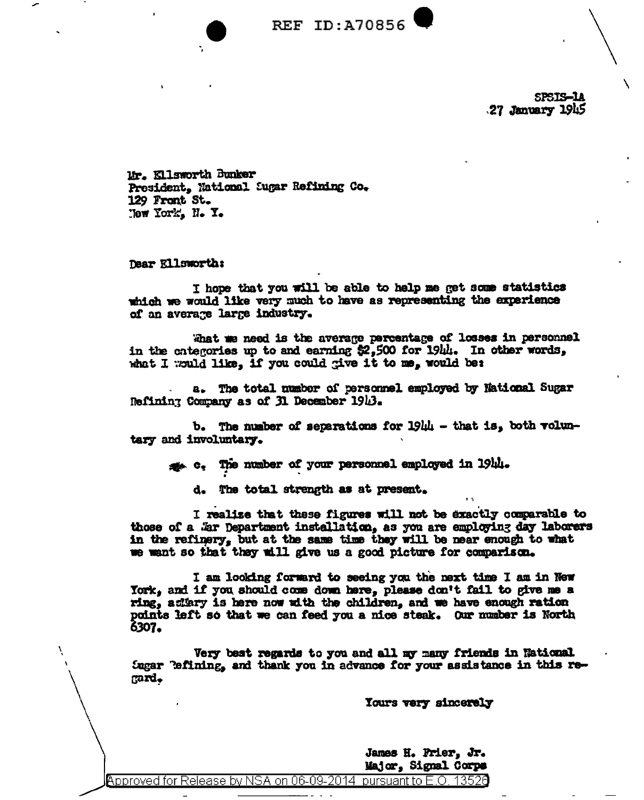

SPSIS-LA 27 January 1945

Mr. Kllsworth Bunker President, National Sugar Refining Co. 129 Front St. New York, N.Y.

Dear Ellsworth:

I hope that you will be able to help me get some statistics which we would like very much to have as representing the experience of an average large industry.

What we need is the average percentage of losses in personnel in the categories up to and earning \$2,500 for 19th. In other words, what I would like, if you could give it to me, would be:

a. The total number of personnel employed by National Sugar Refining Company as of 31 December 1913.

b. The number of separations for 1944 - that is, both voluntary and involuntary.

to the number of your personnel employed in 1944.

d. The total strength as at present.

I realize that these figures will not be exactly comparable to those of a . Er Department installation, as you are employing day laborers in the refinery, but at the same time they will be near enough to what we want so that they will give us a good picture for comparison.

I am looking forward to seeing you the next time I am in New York, and if you should come down here, please don't fail to give me a ring, adiary is here now with the children, and we have enough ration points left so that we can feed you a nice steak. Our number is North 6307.

Very best regards to you and all my many friends in National Sugar "efining, and thank you in advance for your assistance in this regard.

Yours very sincerely

James H. Prier, Jr. Major, Signal Corps

pursuant to E.O. 13526 Approved for Release by NSA on 06-09-2014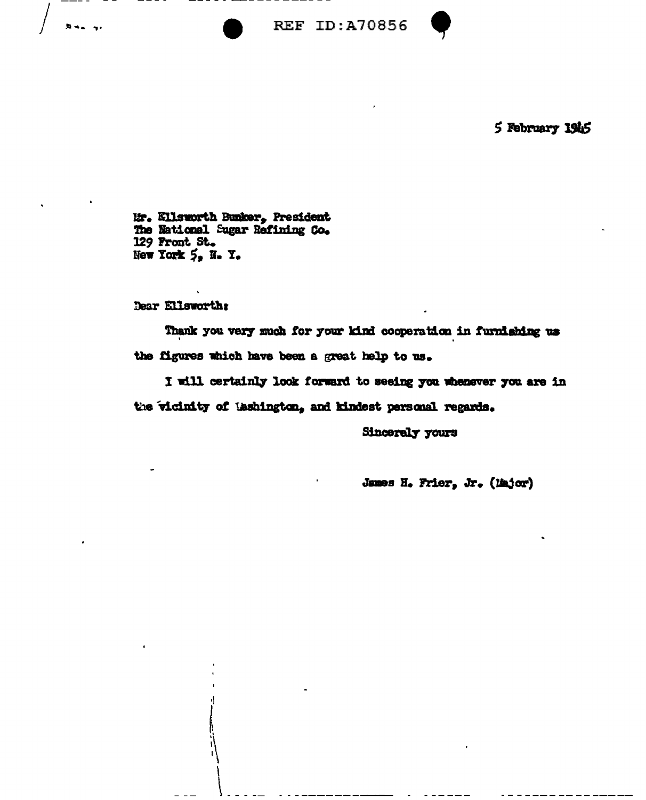**REF ID:A70856** 



5 February 1945

Mr. Ellsworth Bunker, President The National Sugar Refining Co. 129 Front St. New York 5, N.Y.

Dear Ellsworth;

Thank you very much for your kind cooperation in furnishing us the figures which have been a great help to us.

I will certainly look forward to seeing you whenever you are in the vicinity of Lashington, and kindest personal regards.

**Sincerely yours** 

James H. Frier, Jr. (liajor)